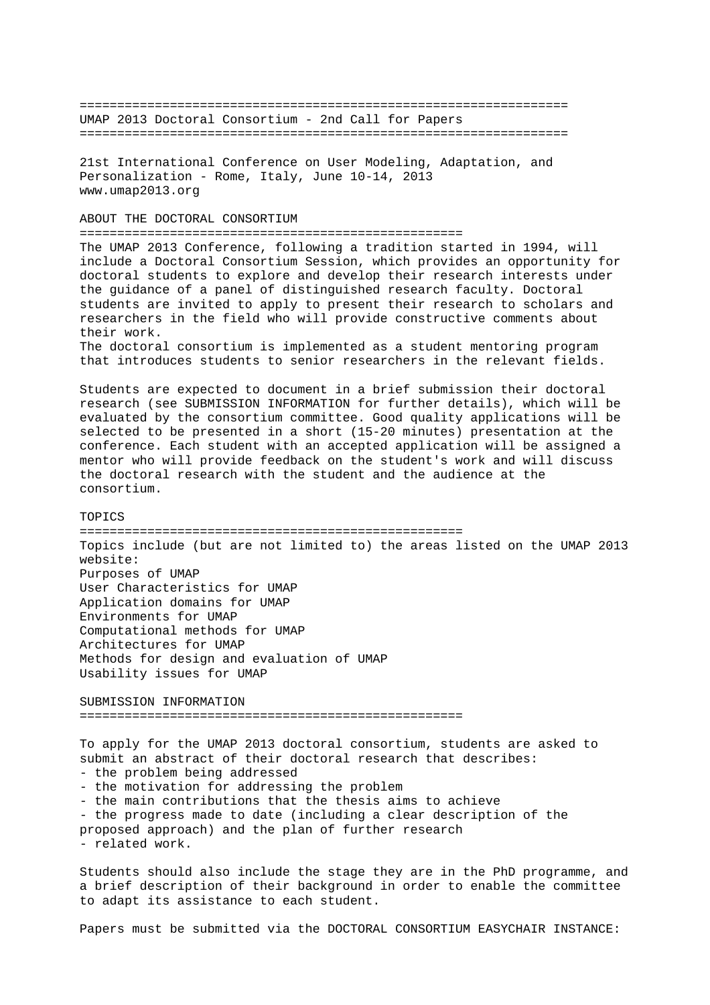================================================================= UMAP 2013 Doctoral Consortium - 2nd Call for Papers =================================================================

21st International Conference on User Modeling, Adaptation, and Personalization - Rome, Italy, June 10-14, 2013 www.umap2013.org

ABOUT THE DOCTORAL CONSORTIUM

===================================================

The UMAP 2013 Conference, following a tradition started in 1994, will include a Doctoral Consortium Session, which provides an opportunity for doctoral students to explore and develop their research interests under the guidance of a panel of distinguished research faculty. Doctoral students are invited to apply to present their research to scholars and researchers in the field who will provide constructive comments about their work. The doctoral consortium is implemented as a student mentoring program

that introduces students to senior researchers in the relevant fields.

Students are expected to document in a brief submission their doctoral research (see SUBMISSION INFORMATION for further details), which will be evaluated by the consortium committee. Good quality applications will be selected to be presented in a short (15-20 minutes) presentation at the conference. Each student with an accepted application will be assigned a mentor who will provide feedback on the student's work and will discuss the doctoral research with the student and the audience at the consortium.

## **TOPICS**

===================================================

Topics include (but are not limited to) the areas listed on the UMAP 2013 website: Purposes of UMAP User Characteristics for UMAP Application domains for UMAP Environments for UMAP Computational methods for UMAP Architectures for UMAP Methods for design and evaluation of UMAP Usability issues for UMAP

SUBMISSION INFORMATION ===================================================

To apply for the UMAP 2013 doctoral consortium, students are asked to submit an abstract of their doctoral research that describes: - the problem being addressed - the motivation for addressing the problem - the main contributions that the thesis aims to achieve - the progress made to date (including a clear description of the proposed approach) and the plan of further research - related work.

Students should also include the stage they are in the PhD programme, and a brief description of their background in order to enable the committee to adapt its assistance to each student.

Papers must be submitted via the DOCTORAL CONSORTIUM EASYCHAIR INSTANCE: